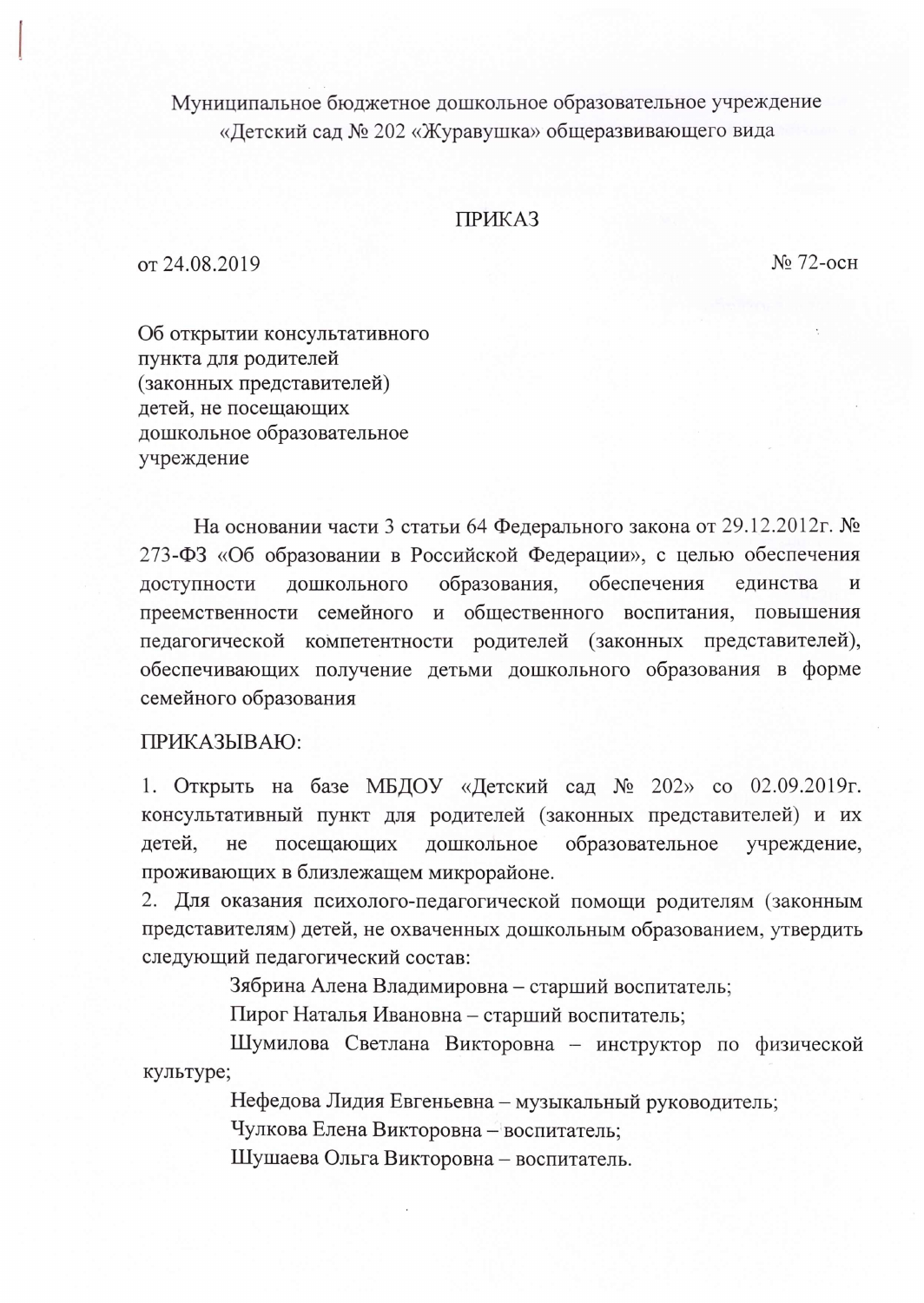Муниципальное бюджетное дошкольное образовательное учреждение «Детский сад № 202 «Журавушка» общеразвивающего вида

## **ПРИКАЗ**

от 24.08.2019

 $No 72-<sub>OCH</sub>$ 

Об открытии консультативного пункта для родителей (законных представителей) детей, не посещающих дошкольное образовательное учреждение

На основании части 3 статьи 64 Федерального закона от 29.12.2012г. № 273-ФЗ «Об образовании в Российской Федерации», с целью обеспечения обеспечения дошкольного образования, доступности единства И преемственности семейного и общественного воспитания, повышения педагогической компетентности родителей (законных представителей), обеспечивающих получение детьми дошкольного образования в форме семейного образования

## ПРИКАЗЫВАЮ:

1. Открыть на базе МБДОУ «Детский сад № 202» со 02.09.2019г. консультативный пункт для родителей (законных представителей) и их детей, образовательное He посещающих дошкольное учреждение, проживающих в близлежащем микрорайоне.

2. Для оказания психолого-педагогической помощи родителям (законным представителям) детей, не охваченных дошкольным образованием, утвердить следующий педагогический состав:

Зябрина Алена Владимировна – старший воспитатель;

Пирог Наталья Ивановна - старший воспитатель;

Шумилова Светлана Викторовна - инструктор по физической культуре;

Нефедова Лидия Евгеньевна - музыкальный руководитель;

Чулкова Елена Викторовна – воспитатель;

Шушаева Ольга Викторовна - воспитатель.